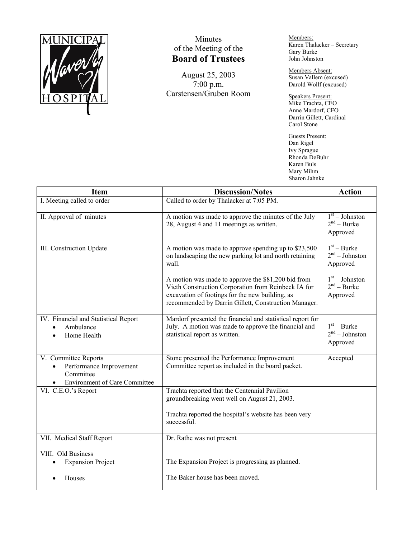

## Minutes of the Meeting of the **Board of Trustees**

August 25, 2003 7:00 p.m. Carstensen/Gruben Room Members: Karen Thalacker – Secretary Gary Burke John Johnston

Members Absent: Susan Vallem (excused) Darold Wollf (excused)

Speakers Present: Mike Trachta, CEO Anne Mardorf, CFO Darrin Gillett, Cardinal Carol Stone

Guests Present: Dan Rigel Ivy Sprague Rhonda DeBuhr Karen Buls Mary Mihm Sharon Jahnke

| <b>Item</b>                                                                                          | <b>Discussion/Notes</b>                                                                                                                                                                                              | <b>Action</b>                                 |
|------------------------------------------------------------------------------------------------------|----------------------------------------------------------------------------------------------------------------------------------------------------------------------------------------------------------------------|-----------------------------------------------|
| I. Meeting called to order                                                                           | Called to order by Thalacker at 7:05 PM.                                                                                                                                                                             |                                               |
| II. Approval of minutes                                                                              | A motion was made to approve the minutes of the July<br>28, August 4 and 11 meetings as written.                                                                                                                     | $1st - Johnson$<br>$2nd - Burke$<br>Approved  |
| III. Construction Update                                                                             | A motion was made to approve spending up to \$23,500<br>on landscaping the new parking lot and north retaining<br>wall.                                                                                              | $1st - Burke$<br>$2nd - Johnston$<br>Approved |
|                                                                                                      | A motion was made to approve the \$81,200 bid from<br>Vieth Construction Corporation from Reinbeck IA for<br>excavation of footings for the new building, as<br>recommended by Darrin Gillett, Construction Manager. | $1st - Johnston$<br>$2nd - Burke$<br>Approved |
| IV. Financial and Statistical Report<br>Ambulance<br>Home Health                                     | Mardorf presented the financial and statistical report for<br>July. A motion was made to approve the financial and<br>statistical report as written.                                                                 | $1st - Burke$<br>$2nd - Johnson$<br>Approved  |
| V. Committee Reports<br>Performance Improvement<br>Committee<br><b>Environment of Care Committee</b> | Stone presented the Performance Improvement<br>Committee report as included in the board packet.                                                                                                                     | Accepted                                      |
| $\overline{\text{VI}}$ . C.E.O.'s Report                                                             | Trachta reported that the Centennial Pavilion<br>groundbreaking went well on August 21, 2003.                                                                                                                        |                                               |
|                                                                                                      | Trachta reported the hospital's website has been very<br>successful.                                                                                                                                                 |                                               |
| VII. Medical Staff Report                                                                            | Dr. Rathe was not present                                                                                                                                                                                            |                                               |
| VIII. Old Business<br><b>Expansion Project</b>                                                       | The Expansion Project is progressing as planned.                                                                                                                                                                     |                                               |
| Houses                                                                                               | The Baker house has been moved.                                                                                                                                                                                      |                                               |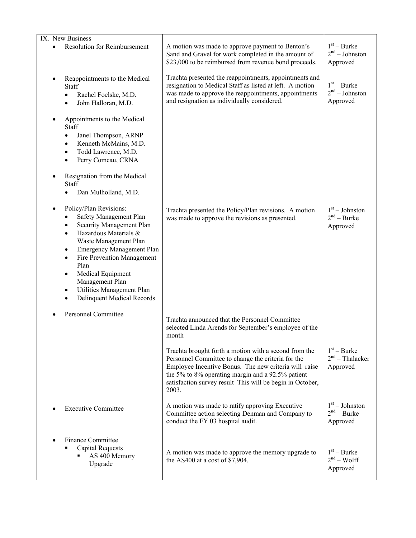| IX. New Business                                                                                                                                                                                                                                                                                                                                                                                               |                                                                                                                                                                                                                                 |                                               |
|----------------------------------------------------------------------------------------------------------------------------------------------------------------------------------------------------------------------------------------------------------------------------------------------------------------------------------------------------------------------------------------------------------------|---------------------------------------------------------------------------------------------------------------------------------------------------------------------------------------------------------------------------------|-----------------------------------------------|
| <b>Resolution for Reimbursement</b>                                                                                                                                                                                                                                                                                                                                                                            | A motion was made to approve payment to Benton's<br>Sand and Gravel for work completed in the amount of<br>\$23,000 to be reimbursed from revenue bond proceeds.                                                                | $1st - Burke$<br>$2nd - Johnson$<br>Approved  |
| Reappointments to the Medical<br>Staff<br>Rachel Foelske, M.D.<br>٠<br>John Halloran, M.D.<br>$\bullet$                                                                                                                                                                                                                                                                                                        | Trachta presented the reappointments, appointments and<br>resignation to Medical Staff as listed at left. A motion<br>was made to approve the reappointments, appointments<br>and resignation as individually considered.       | $1st - Burke$<br>$2nd - Johnston$<br>Approved |
| Appointments to the Medical<br><b>Staff</b><br>Janel Thompson, ARNP<br>٠<br>Kenneth McMains, M.D.<br>٠<br>Todd Lawrence, M.D.<br>$\bullet$<br>Perry Comeau, CRNA<br>$\bullet$<br>Resignation from the Medical<br>Staff                                                                                                                                                                                         |                                                                                                                                                                                                                                 |                                               |
| Dan Mulholland, M.D.<br>Policy/Plan Revisions:<br>Safety Management Plan<br>Security Management Plan<br>٠<br>Hazardous Materials &<br>$\bullet$<br>Waste Management Plan<br><b>Emergency Management Plan</b><br>٠<br>Fire Prevention Management<br>$\bullet$<br>Plan<br>Medical Equipment<br>$\bullet$<br>Management Plan<br>Utilities Management Plan<br>$\bullet$<br>Delinquent Medical Records<br>$\bullet$ | Trachta presented the Policy/Plan revisions. A motion<br>was made to approve the revisions as presented.                                                                                                                        | $1st - Johnston$<br>$2nd - Burke$<br>Approved |
| <b>Personnel Committee</b>                                                                                                                                                                                                                                                                                                                                                                                     | Trachta announced that the Personnel Committee<br>selected Linda Arends for September's employee of the<br>month<br>Trachta brought forth a motion with a second from the<br>Personnel Committee to change the criteria for the | $1st - Burke$<br>$2nd$ – Thalacker            |
|                                                                                                                                                                                                                                                                                                                                                                                                                | Employee Incentive Bonus. The new criteria will raise<br>the 5% to 8% operating margin and a 92.5% patient<br>satisfaction survey result This will be begin in October,<br>2003.                                                | Approved                                      |
| <b>Executive Committee</b>                                                                                                                                                                                                                                                                                                                                                                                     | A motion was made to ratify approving Executive<br>Committee action selecting Denman and Company to<br>conduct the FY 03 hospital audit.                                                                                        | $1st - Johnston$<br>$2nd - Burke$<br>Approved |
| <b>Finance Committee</b><br><b>Capital Requests</b><br>AS 400 Memory<br>Upgrade                                                                                                                                                                                                                                                                                                                                | A motion was made to approve the memory upgrade to<br>the AS400 at a cost of \$7,904.                                                                                                                                           | $1st - Burke$<br>$2nd - Wolf$<br>Approved     |